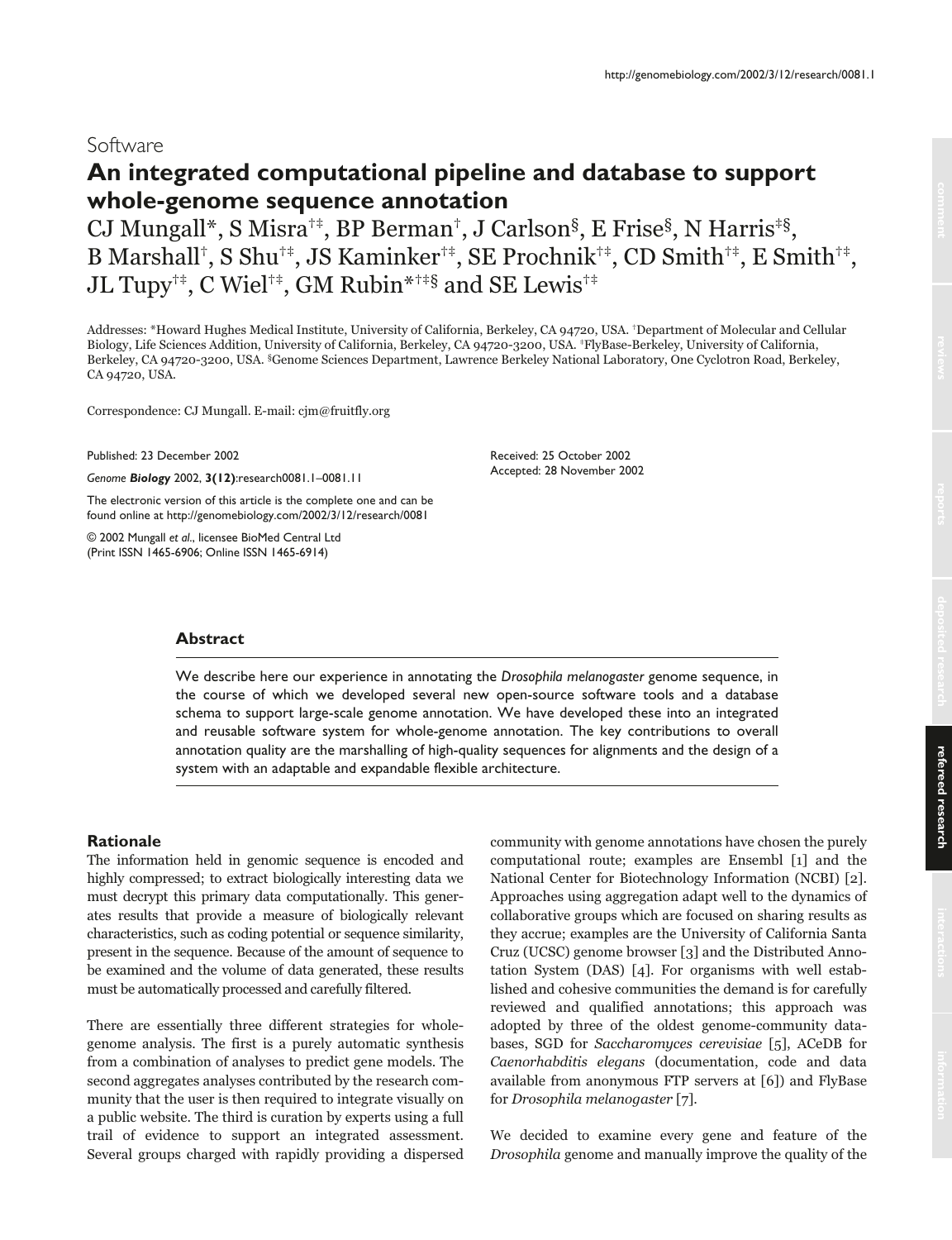# **An integrated computational pipeline and database to support whole-genome sequence annotation**

CJ Mungall\*, S Misra†‡, BP Berman†, J Carlson§, E Frise§, N Harris‡§, B Marshall†, S Shu†‡, JS Kaminker†‡, SE Prochnik†‡, CD Smith†‡, E Smith†‡, JL Tupy†‡, C Wiel†‡, GM Rubin\*†‡§ and SE Lewis†‡

Addresses: \*Howard Hughes Medical Institute, University of California, Berkeley, CA 94720, USA. †Department of Molecular and Cellular Biology, Life Sciences Addition, University of California, Berkeley, CA 94720-3200, USA. ‡FlyBase-Berkeley, University of California, Berkeley, CA 94720-3200, USA. §Genome Sciences Department, Lawrence Berkeley National Laboratory, One Cyclotron Road, Berkeley, CA 94720, USA.

Correspondence: CJ Mungall. E-mail: cjm@fruitfly.org

Published: 23 December 2002

*Genome Biology* 2002, **3(12)**:research0081.1–0081.11

The electronic version of this article is the complete one and can be found online at http://genomebiology.com/2002/3/12/research/0081

© 2002 Mungall *et al*., licensee BioMed Central Ltd (Print ISSN 1465-6906; Online ISSN 1465-6914)

Received: 25 October 2002 Accepted: 28 November 2002

## **Abstract**

We describe here our experience in annotating the *Drosophila melanogaster* genome sequence, in the course of which we developed several new open-source software tools and a database schema to support large-scale genome annotation. We have developed these into an integrated and reusable software system for whole-genome annotation. The key contributions to overall annotation quality are the marshalling of high-quality sequences for alignments and the design of a system with an adaptable and expandable flexible architecture.

# **Rationale**

The information held in genomic sequence is encoded and highly compressed; to extract biologically interesting data we must decrypt this primary data computationally. This generates results that provide a measure of biologically relevant characteristics, such as coding potential or sequence similarity, present in the sequence. Because of the amount of sequence to be examined and the volume of data generated, these results must be automatically processed and carefully filtered.

There are essentially three different strategies for wholegenome analysis. The first is a purely automatic synthesis from a combination of analyses to predict gene models. The second aggregates analyses contributed by the research community that the user is then required to integrate visually on a public website. The third is curation by experts using a full trail of evidence to support an integrated assessment. Several groups charged with rapidly providing a dispersed

community with genome annotations have chosen the purely computational route; examples are Ensembl [1] and the National Center for Biotechnology Information (NCBI) [2]. Approaches using aggregation adapt well to the dynamics of collaborative groups which are focused on sharing results as they accrue; examples are the University of California Santa Cruz (UCSC) genome browser [3] and the Distributed Annotation System (DAS) [4]. For organisms with well established and cohesive communities the demand is for carefully reviewed and qualified annotations; this approach was adopted by three of the oldest genome-community databases, SGD for Saccharomyces cerevisiae [5], ACeDB for Caenorhabditis elegans (documentation, code and data available from anonymous FTP servers at [6]) and FlyBase for Drosophila melanogaster [7].

We decided to examine every gene and feature of the Drosophila genome and manually improve the quality of the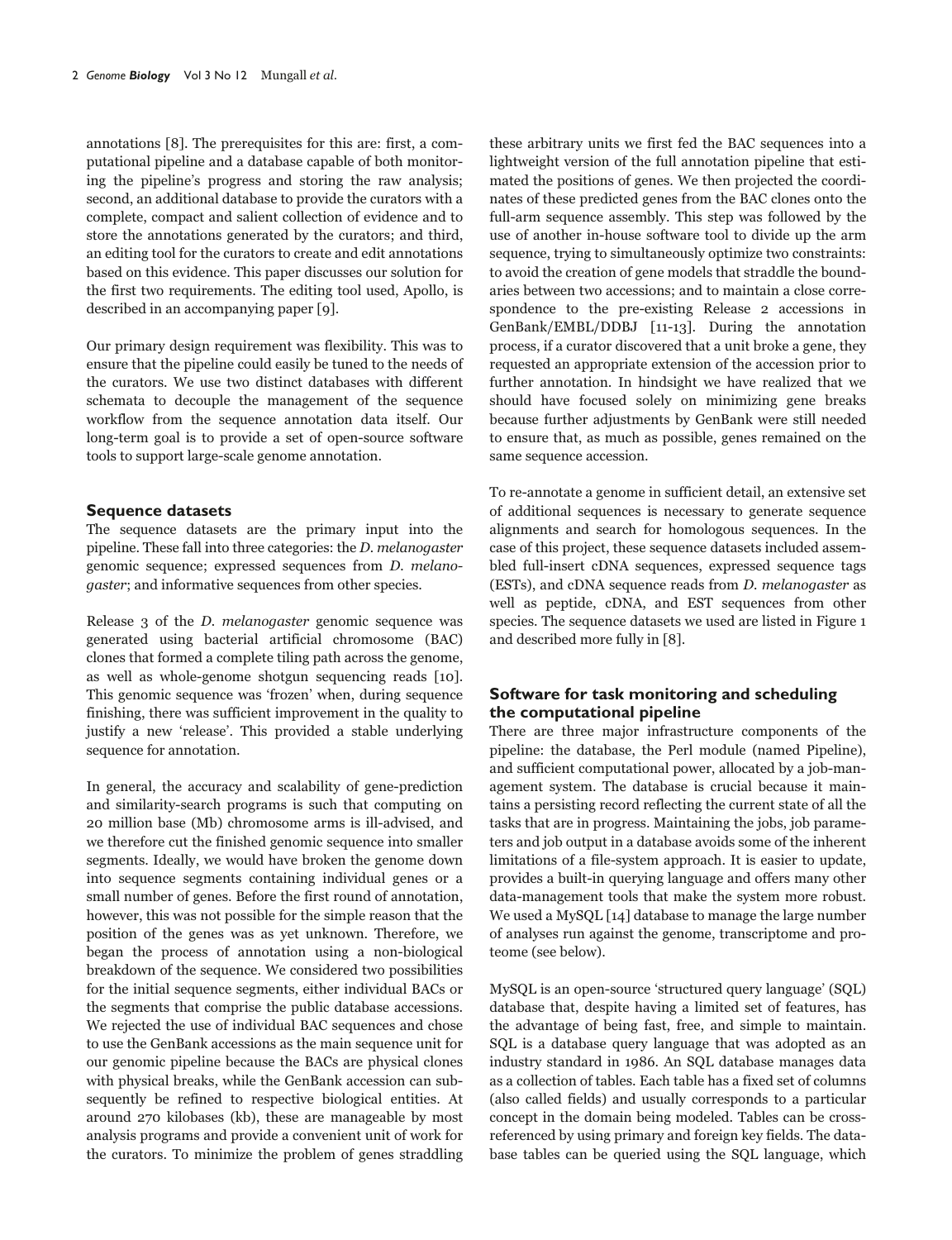annotations [8]. The prerequisites for this are: first, a computational pipeline and a database capable of both monitoring the pipeline's progress and storing the raw analysis; second, an additional database to provide the curators with a complete, compact and salient collection of evidence and to store the annotations generated by the curators; and third, an editing tool for the curators to create and edit annotations based on this evidence. This paper discusses our solution for the first two requirements. The editing tool used, Apollo, is described in an accompanying paper [9].

Our primary design requirement was flexibility. This was to ensure that the pipeline could easily be tuned to the needs of the curators. We use two distinct databases with different schemata to decouple the management of the sequence workflow from the sequence annotation data itself. Our long-term goal is to provide a set of open-source software tools to support large-scale genome annotation.

# **Sequence datasets**

The sequence datasets are the primary input into the pipeline. These fall into three categories: the D. melanogaster genomic sequence; expressed sequences from D. melanogaster; and informative sequences from other species.

Release 3 of the D. melanogaster genomic sequence was generated using bacterial artificial chromosome (BAC) clones that formed a complete tiling path across the genome, as well as whole-genome shotgun sequencing reads [10]. This genomic sequence was 'frozen' when, during sequence finishing, there was sufficient improvement in the quality to justify a new 'release'. This provided a stable underlying sequence for annotation.

In general, the accuracy and scalability of gene-prediction and similarity-search programs is such that computing on 20 million base (Mb) chromosome arms is ill-advised, and we therefore cut the finished genomic sequence into smaller segments. Ideally, we would have broken the genome down into sequence segments containing individual genes or a small number of genes. Before the first round of annotation, however, this was not possible for the simple reason that the position of the genes was as yet unknown. Therefore, we began the process of annotation using a non-biological breakdown of the sequence. We considered two possibilities for the initial sequence segments, either individual BACs or the segments that comprise the public database accessions. We rejected the use of individual BAC sequences and chose to use the GenBank accessions as the main sequence unit for our genomic pipeline because the BACs are physical clones with physical breaks, while the GenBank accession can subsequently be refined to respective biological entities. At around 270 kilobases (kb), these are manageable by most analysis programs and provide a convenient unit of work for the curators. To minimize the problem of genes straddling these arbitrary units we first fed the BAC sequences into a lightweight version of the full annotation pipeline that estimated the positions of genes. We then projected the coordinates of these predicted genes from the BAC clones onto the full-arm sequence assembly. This step was followed by the use of another in-house software tool to divide up the arm sequence, trying to simultaneously optimize two constraints: to avoid the creation of gene models that straddle the boundaries between two accessions; and to maintain a close correspondence to the pre-existing Release 2 accessions in GenBank/EMBL/DDBJ [11-13]. During the annotation process, if a curator discovered that a unit broke a gene, they requested an appropriate extension of the accession prior to further annotation. In hindsight we have realized that we should have focused solely on minimizing gene breaks because further adjustments by GenBank were still needed to ensure that, as much as possible, genes remained on the same sequence accession.

To re-annotate a genome in sufficient detail, an extensive set of additional sequences is necessary to generate sequence alignments and search for homologous sequences. In the case of this project, these sequence datasets included assembled full-insert cDNA sequences, expressed sequence tags (ESTs), and cDNA sequence reads from D. melanogaster as well as peptide, cDNA, and EST sequences from other species. The sequence datasets we used are listed in Figure 1 and described more fully in [8].

# **Software for task monitoring and scheduling the computational pipeline**

There are three major infrastructure components of the pipeline: the database, the Perl module (named Pipeline), and sufficient computational power, allocated by a job-management system. The database is crucial because it maintains a persisting record reflecting the current state of all the tasks that are in progress. Maintaining the jobs, job parameters and job output in a database avoids some of the inherent limitations of a file-system approach. It is easier to update, provides a built-in querying language and offers many other data-management tools that make the system more robust. We used a MySQL [14] database to manage the large number of analyses run against the genome, transcriptome and proteome (see below).

MySQL is an open-source 'structured query language' (SQL) database that, despite having a limited set of features, has the advantage of being fast, free, and simple to maintain. SQL is a database query language that was adopted as an industry standard in 1986. An SQL database manages data as a collection of tables. Each table has a fixed set of columns (also called fields) and usually corresponds to a particular concept in the domain being modeled. Tables can be crossreferenced by using primary and foreign key fields. The database tables can be queried using the SQL language, which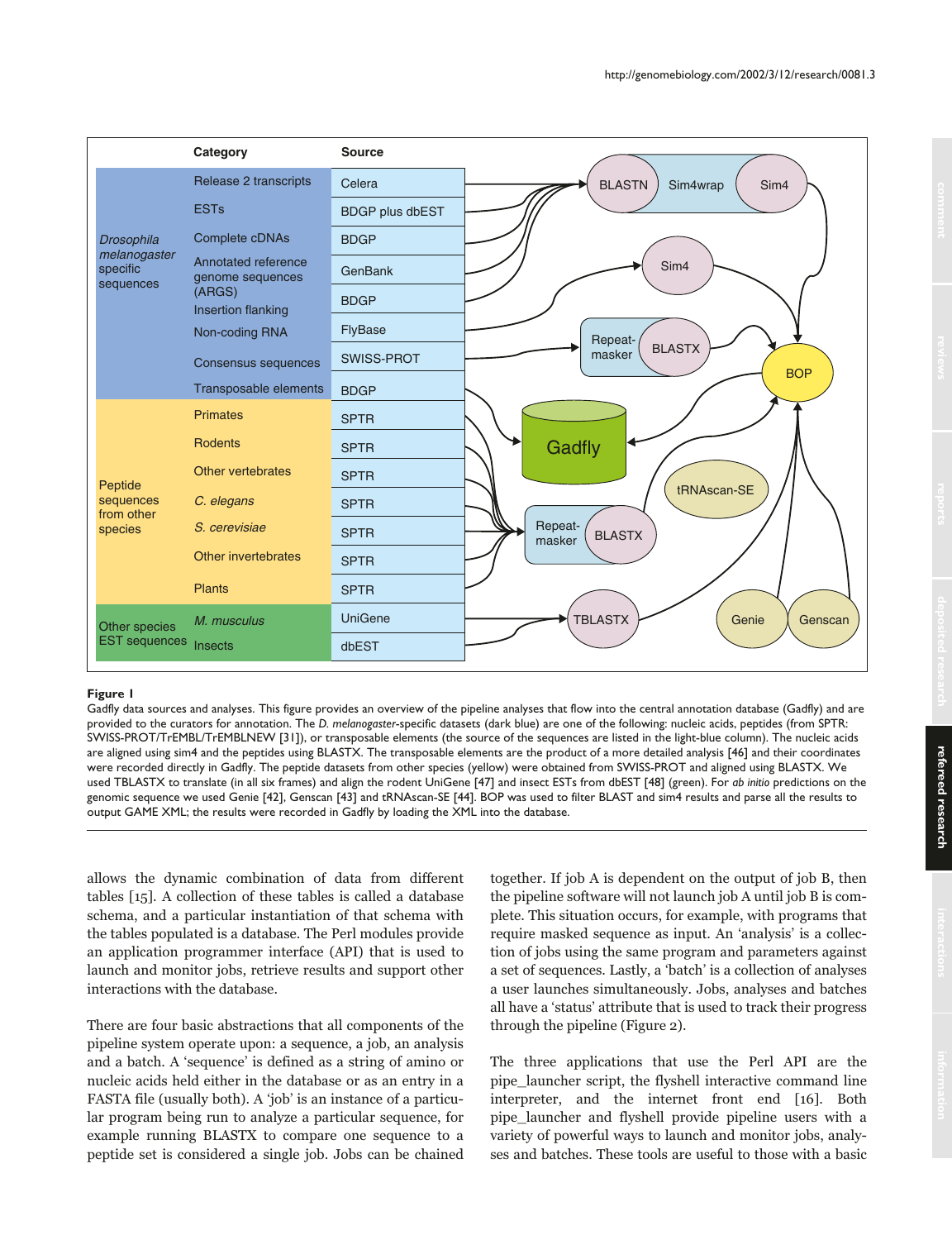

## **Figure 1**

Gadfly data sources and analyses. This figure provides an overview of the pipeline analyses that flow into the central annotation database (Gadfly) and are provided to the curators for annotation. The *D. melanogaster*-specific datasets (dark blue) are one of the following: nucleic acids, peptides (from SPTR: SWISS-PROT/TrEMBL/TrEMBLNEW [31]), or transposable elements (the source of the sequences are listed in the light-blue column). The nucleic acids are aligned using sim4 and the peptides using BLASTX. The transposable elements are the product of a more detailed analysis [46] and their coordinates were recorded directly in Gadfly. The peptide datasets from other species (yellow) were obtained from SWISS-PROT and aligned using BLASTX. We used TBLASTX to translate (in all six frames) and align the rodent UniGene [47] and insect ESTs from dbEST [48] (green). For *ab initio* predictions on the genomic sequence we used Genie [42], Genscan [43] and tRNAscan-SE [44]. BOP was used to filter BLAST and sim4 results and parse all the results to output GAME XML; the results were recorded in Gadfly by loading the XML into the database.

allows the dynamic combination of data from different tables [15]. A collection of these tables is called a database schema, and a particular instantiation of that schema with the tables populated is a database. The Perl modules provide an application programmer interface (API) that is used to launch and monitor jobs, retrieve results and support other interactions with the database.

There are four basic abstractions that all components of the pipeline system operate upon: a sequence, a job, an analysis and a batch. A 'sequence' is defined as a string of amino or nucleic acids held either in the database or as an entry in a FASTA file (usually both). A 'job' is an instance of a particular program being run to analyze a particular sequence, for example running BLASTX to compare one sequence to a peptide set is considered a single job. Jobs can be chained

together. If job A is dependent on the output of job B, then the pipeline software will not launch job A until job B is complete. This situation occurs, for example, with programs that require masked sequence as input. An 'analysis' is a collection of jobs using the same program and parameters against a set of sequences. Lastly, a 'batch' is a collection of analyses a user launches simultaneously. Jobs, analyses and batches all have a 'status' attribute that is used to track their progress through the pipeline (Figure 2).

The three applications that use the Perl API are the pipe\_launcher script, the flyshell interactive command line interpreter, and the internet front end [16]. Both pipe\_launcher and flyshell provide pipeline users with a variety of powerful ways to launch and monitor jobs, analyses and batches. These tools are useful to those with a basic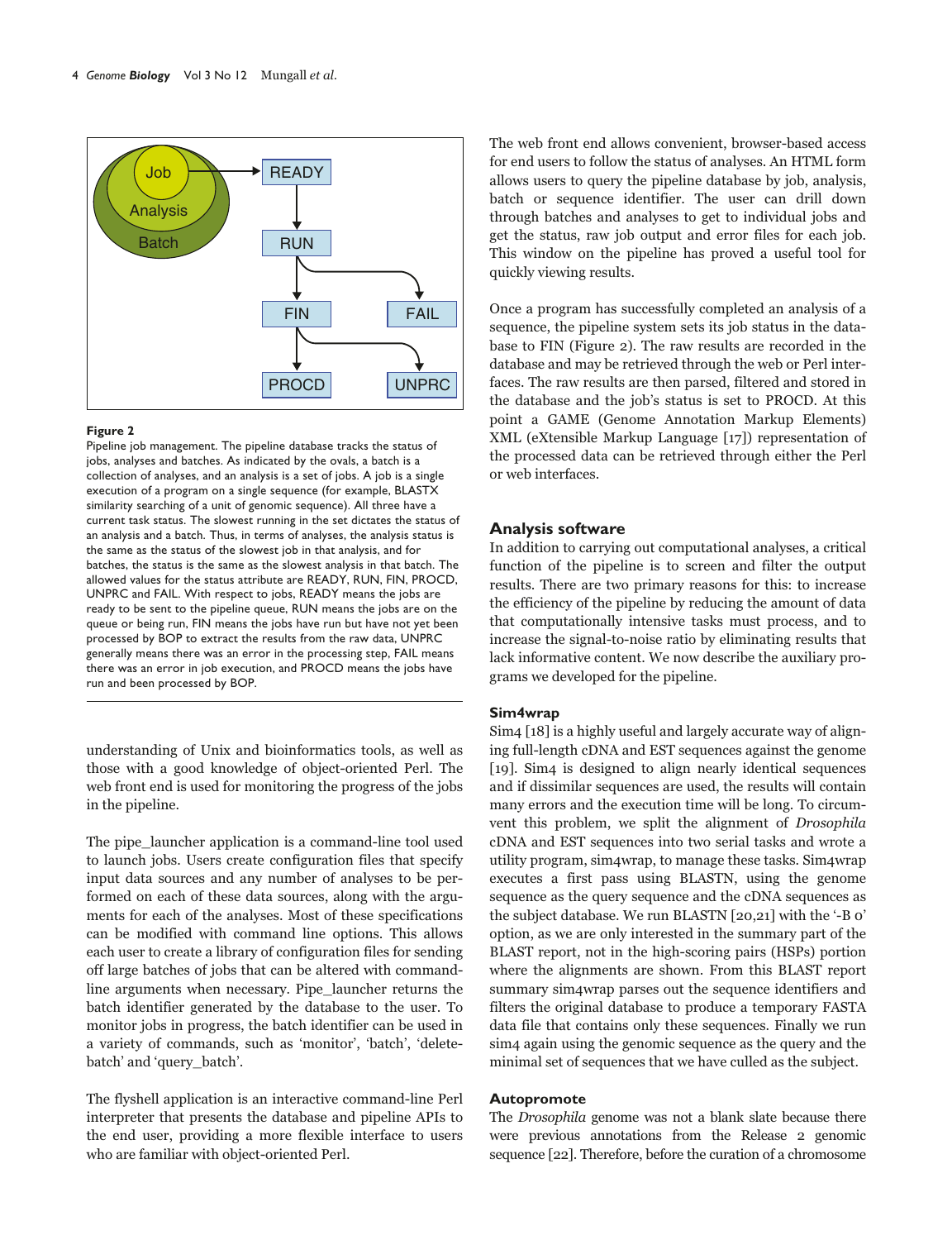

#### **Figure 2**

Pipeline job management. The pipeline database tracks the status of jobs, analyses and batches. As indicated by the ovals, a batch is a collection of analyses, and an analysis is a set of jobs. A job is a single execution of a program on a single sequence (for example, BLASTX similarity searching of a unit of genomic sequence). All three have a current task status. The slowest running in the set dictates the status of an analysis and a batch. Thus, in terms of analyses, the analysis status is the same as the status of the slowest job in that analysis, and for batches, the status is the same as the slowest analysis in that batch. The allowed values for the status attribute are READY, RUN, FIN, PROCD, UNPRC and FAIL. With respect to jobs, READY means the jobs are ready to be sent to the pipeline queue, RUN means the jobs are on the queue or being run, FIN means the jobs have run but have not yet been processed by BOP to extract the results from the raw data, UNPRC generally means there was an error in the processing step, FAIL means there was an error in job execution, and PROCD means the jobs have run and been processed by BOP.

understanding of Unix and bioinformatics tools, as well as those with a good knowledge of object-oriented Perl. The web front end is used for monitoring the progress of the jobs in the pipeline.

The pipe\_launcher application is a command-line tool used to launch jobs. Users create configuration files that specify input data sources and any number of analyses to be performed on each of these data sources, along with the arguments for each of the analyses. Most of these specifications can be modified with command line options. This allows each user to create a library of configuration files for sending off large batches of jobs that can be altered with commandline arguments when necessary. Pipe\_launcher returns the batch identifier generated by the database to the user. To monitor jobs in progress, the batch identifier can be used in a variety of commands, such as 'monitor', 'batch', 'deletebatch' and 'query\_batch'.

The flyshell application is an interactive command-line Perl interpreter that presents the database and pipeline APIs to the end user, providing a more flexible interface to users who are familiar with object-oriented Perl.

The web front end allows convenient, browser-based access for end users to follow the status of analyses. An HTML form allows users to query the pipeline database by job, analysis, batch or sequence identifier. The user can drill down through batches and analyses to get to individual jobs and get the status, raw job output and error files for each job. This window on the pipeline has proved a useful tool for quickly viewing results.

Once a program has successfully completed an analysis of a sequence, the pipeline system sets its job status in the database to FIN (Figure 2). The raw results are recorded in the database and may be retrieved through the web or Perl interfaces. The raw results are then parsed, filtered and stored in the database and the job's status is set to PROCD. At this point a GAME (Genome Annotation Markup Elements) XML (eXtensible Markup Language [17]) representation of the processed data can be retrieved through either the Perl or web interfaces.

#### **Analysis software**

In addition to carrying out computational analyses, a critical function of the pipeline is to screen and filter the output results. There are two primary reasons for this: to increase the efficiency of the pipeline by reducing the amount of data that computationally intensive tasks must process, and to increase the signal-to-noise ratio by eliminating results that lack informative content. We now describe the auxiliary programs we developed for the pipeline.

#### **Sim4wrap**

Sim4 [18] is a highly useful and largely accurate way of aligning full-length cDNA and EST sequences against the genome [19]. Sim4 is designed to align nearly identical sequences and if dissimilar sequences are used, the results will contain many errors and the execution time will be long. To circumvent this problem, we split the alignment of Drosophila cDNA and EST sequences into two serial tasks and wrote a utility program, sim4wrap, to manage these tasks. Sim4wrap executes a first pass using BLASTN, using the genome sequence as the query sequence and the cDNA sequences as the subject database. We run BLASTN [20,21] with the '-B 0' option, as we are only interested in the summary part of the BLAST report, not in the high-scoring pairs (HSPs) portion where the alignments are shown. From this BLAST report summary sim4wrap parses out the sequence identifiers and filters the original database to produce a temporary FASTA data file that contains only these sequences. Finally we run sim4 again using the genomic sequence as the query and the minimal set of sequences that we have culled as the subject.

### **Autopromote**

The Drosophila genome was not a blank slate because there were previous annotations from the Release 2 genomic sequence [22]. Therefore, before the curation of a chromosome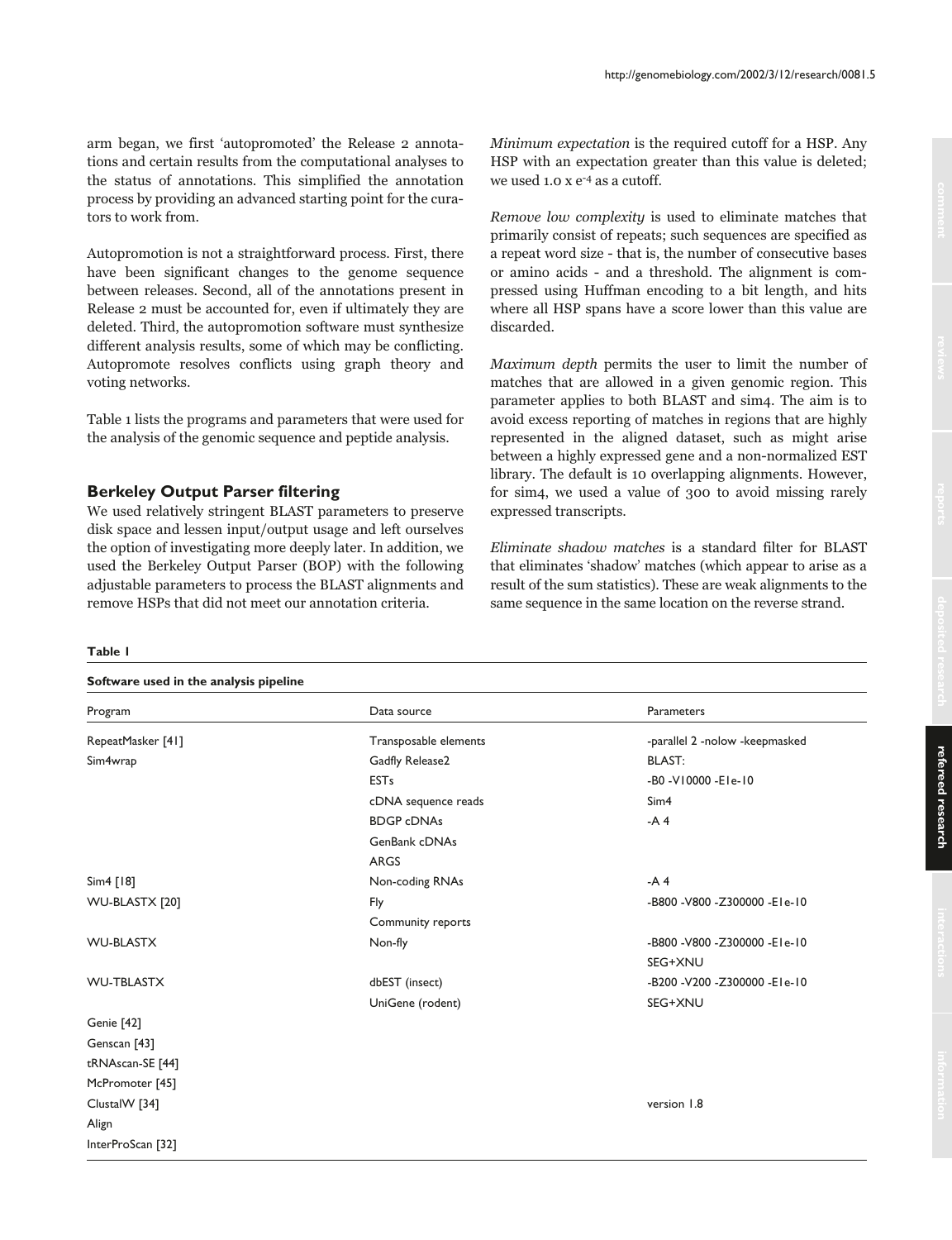arm began, we first 'autopromoted' the Release 2 annotations and certain results from the computational analyses to the status of annotations. This simplified the annotation process by providing an advanced starting point for the curators to work from.

Autopromotion is not a straightforward process. First, there have been significant changes to the genome sequence between releases. Second, all of the annotations present in Release 2 must be accounted for, even if ultimately they are deleted. Third, the autopromotion software must synthesize different analysis results, some of which may be conflicting. Autopromote resolves conflicts using graph theory and voting networks.

Table 1 lists the programs and parameters that were used for the analysis of the genomic sequence and peptide analysis.

# **Berkeley Output Parser filtering**

We used relatively stringent BLAST parameters to preserve disk space and lessen input/output usage and left ourselves the option of investigating more deeply later. In addition, we used the Berkeley Output Parser (BOP) with the following adjustable parameters to process the BLAST alignments and remove HSPs that did not meet our annotation criteria.

Minimum expectation is the required cutoff for a HSP. Any HSP with an expectation greater than this value is deleted; we used  $1.0 \times e^{-4}$  as a cutoff.

Remove low complexity is used to eliminate matches that primarily consist of repeats; such sequences are specified as a repeat word size - that is, the number of consecutive bases or amino acids - and a threshold. The alignment is compressed using Huffman encoding to a bit length, and hits where all HSP spans have a score lower than this value are discarded.

Maximum depth permits the user to limit the number of matches that are allowed in a given genomic region. This parameter applies to both BLAST and sim4. The aim is to avoid excess reporting of matches in regions that are highly represented in the aligned dataset, such as might arise between a highly expressed gene and a non-normalized EST library. The default is 10 overlapping alignments. However, for sim4, we used a value of 300 to avoid missing rarely expressed transcripts.

Eliminate shadow matches is a standard filter for BLAST that eliminates 'shadow' matches (which appear to arise as a result of the sum statistics). These are weak alignments to the same sequence in the same location on the reverse strand.

#### **Table 1**

| Software used in the analysis pipeline |                       |                                              |  |  |
|----------------------------------------|-----------------------|----------------------------------------------|--|--|
| Program                                | Data source           | Parameters<br>-parallel 2 -nolow -keepmasked |  |  |
| RepeatMasker [41]                      | Transposable elements |                                              |  |  |
| Sim4wrap                               | Gadfly Release2       | <b>BLAST:</b>                                |  |  |
|                                        | <b>ESTs</b>           | -B0 -V10000 -Ele-10                          |  |  |
|                                        | cDNA sequence reads   | Sim4                                         |  |  |
|                                        | <b>BDGP cDNAs</b>     | $-AA$                                        |  |  |
|                                        | GenBank cDNAs         |                                              |  |  |
|                                        | ARGS                  |                                              |  |  |
| Sim4 [18]                              | Non-coding RNAs       | $-AA$                                        |  |  |
| <b>WU-BLASTX [20]</b>                  | Fly                   | -B800 - V800 - Z300000 - Ele-10              |  |  |
|                                        | Community reports     |                                              |  |  |
| <b>WU-BLASTX</b>                       | Non-fly               | -B800 -V800 -Z300000 -Ele-10                 |  |  |
|                                        |                       | SEG+XNU                                      |  |  |
| <b>WU-TBLASTX</b>                      | dbEST (insect)        | -B200 -V200 -Z300000 -Ele-10                 |  |  |
|                                        | UniGene (rodent)      | SEG+XNU                                      |  |  |
| Genie [42]                             |                       |                                              |  |  |
| Genscan [43]                           |                       |                                              |  |  |
| tRNAscan-SE [44]                       |                       |                                              |  |  |
| McPromoter [45]                        |                       |                                              |  |  |
| ClustalW [34]                          |                       | version 1.8                                  |  |  |
| Align                                  |                       |                                              |  |  |
| InterProScan [32]                      |                       |                                              |  |  |
|                                        |                       |                                              |  |  |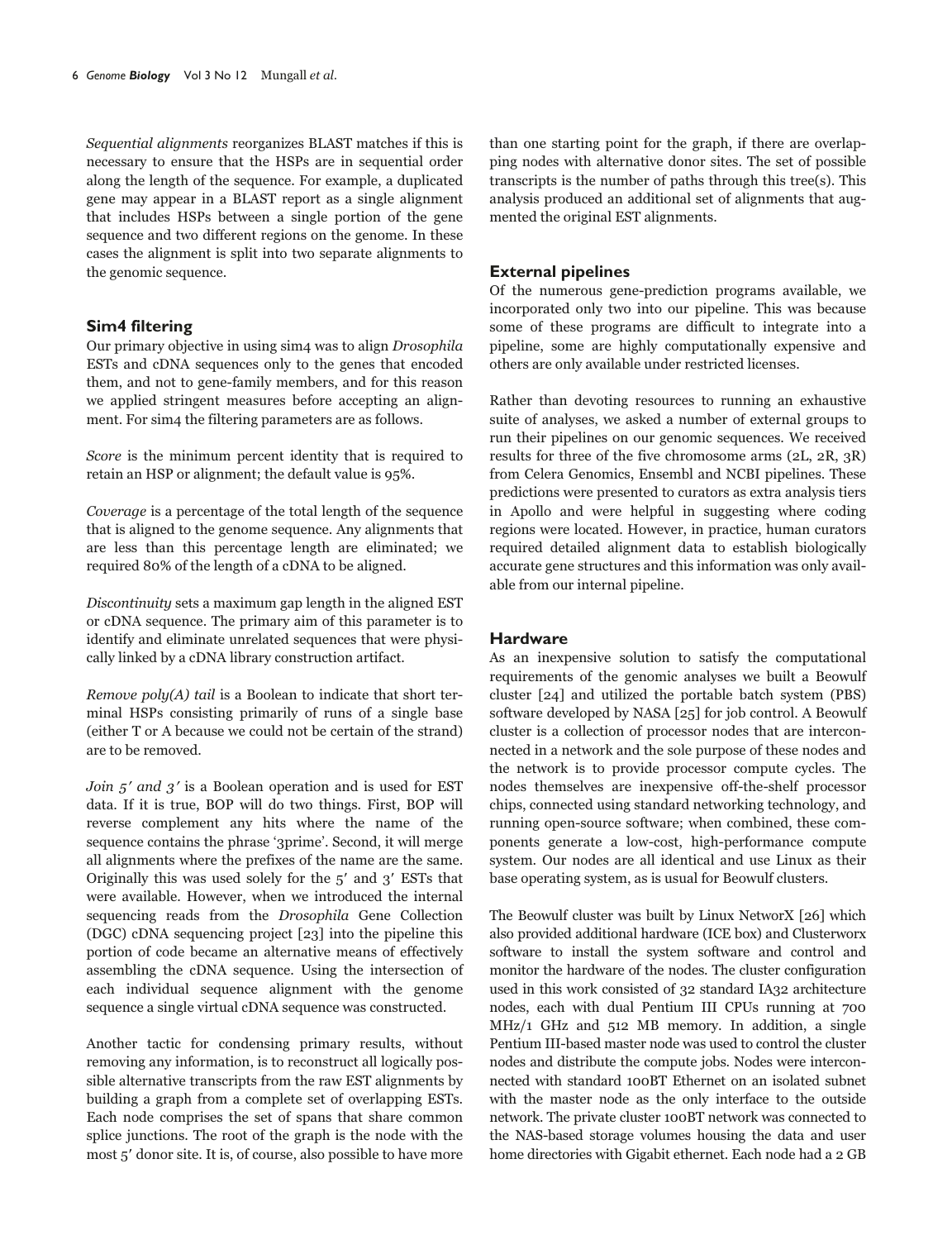Sequential alignments reorganizes BLAST matches if this is necessary to ensure that the HSPs are in sequential order along the length of the sequence. For example, a duplicated gene may appear in a BLAST report as a single alignment that includes HSPs between a single portion of the gene sequence and two different regions on the genome. In these cases the alignment is split into two separate alignments to the genomic sequence.

# **Sim4 filtering**

Our primary objective in using sim4 was to align Drosophila ESTs and cDNA sequences only to the genes that encoded them, and not to gene-family members, and for this reason we applied stringent measures before accepting an alignment. For sim4 the filtering parameters are as follows.

Score is the minimum percent identity that is required to retain an HSP or alignment; the default value is 95%.

Coverage is a percentage of the total length of the sequence that is aligned to the genome sequence. Any alignments that are less than this percentage length are eliminated; we required 80% of the length of a cDNA to be aligned.

Discontinuity sets a maximum gap length in the aligned EST or cDNA sequence. The primary aim of this parameter is to identify and eliminate unrelated sequences that were physically linked by a cDNA library construction artifact.

*Remove poly(A) tail* is a Boolean to indicate that short terminal HSPs consisting primarily of runs of a single base (either T or A because we could not be certain of the strand) are to be removed.

Join  $5'$  and  $3'$  is a Boolean operation and is used for EST data. If it is true, BOP will do two things. First, BOP will reverse complement any hits where the name of the sequence contains the phrase '3prime'. Second, it will merge all alignments where the prefixes of the name are the same. Originally this was used solely for the  $5'$  and  $3'$  ESTs that were available. However, when we introduced the internal sequencing reads from the Drosophila Gene Collection (DGC) cDNA sequencing project [23] into the pipeline this portion of code became an alternative means of effectively assembling the cDNA sequence. Using the intersection of each individual sequence alignment with the genome sequence a single virtual cDNA sequence was constructed.

Another tactic for condensing primary results, without removing any information, is to reconstruct all logically possible alternative transcripts from the raw EST alignments by building a graph from a complete set of overlapping ESTs. Each node comprises the set of spans that share common splice junctions. The root of the graph is the node with the most 5' donor site. It is, of course, also possible to have more than one starting point for the graph, if there are overlapping nodes with alternative donor sites. The set of possible transcripts is the number of paths through this tree(s). This analysis produced an additional set of alignments that augmented the original EST alignments.

# **External pipelines**

Of the numerous gene-prediction programs available, we incorporated only two into our pipeline. This was because some of these programs are difficult to integrate into a pipeline, some are highly computationally expensive and others are only available under restricted licenses.

Rather than devoting resources to running an exhaustive suite of analyses, we asked a number of external groups to run their pipelines on our genomic sequences. We received results for three of the five chromosome arms (2L, 2R, 3R) from Celera Genomics, Ensembl and NCBI pipelines. These predictions were presented to curators as extra analysis tiers in Apollo and were helpful in suggesting where coding regions were located. However, in practice, human curators required detailed alignment data to establish biologically accurate gene structures and this information was only available from our internal pipeline.

## **Hardware**

As an inexpensive solution to satisfy the computational requirements of the genomic analyses we built a Beowulf cluster [24] and utilized the portable batch system (PBS) software developed by NASA [25] for job control. A Beowulf cluster is a collection of processor nodes that are interconnected in a network and the sole purpose of these nodes and the network is to provide processor compute cycles. The nodes themselves are inexpensive off-the-shelf processor chips, connected using standard networking technology, and running open-source software; when combined, these components generate a low-cost, high-performance compute system. Our nodes are all identical and use Linux as their base operating system, as is usual for Beowulf clusters.

The Beowulf cluster was built by Linux NetworX [26] which also provided additional hardware (ICE box) and Clusterworx software to install the system software and control and monitor the hardware of the nodes. The cluster configuration used in this work consisted of 32 standard IA32 architecture nodes, each with dual Pentium III CPUs running at 700 MHz/1 GHz and 512 MB memory. In addition, a single Pentium III-based master node was used to control the cluster nodes and distribute the compute jobs. Nodes were interconnected with standard 100BT Ethernet on an isolated subnet with the master node as the only interface to the outside network. The private cluster 100BT network was connected to the NAS-based storage volumes housing the data and user home directories with Gigabit ethernet. Each node had a 2 GB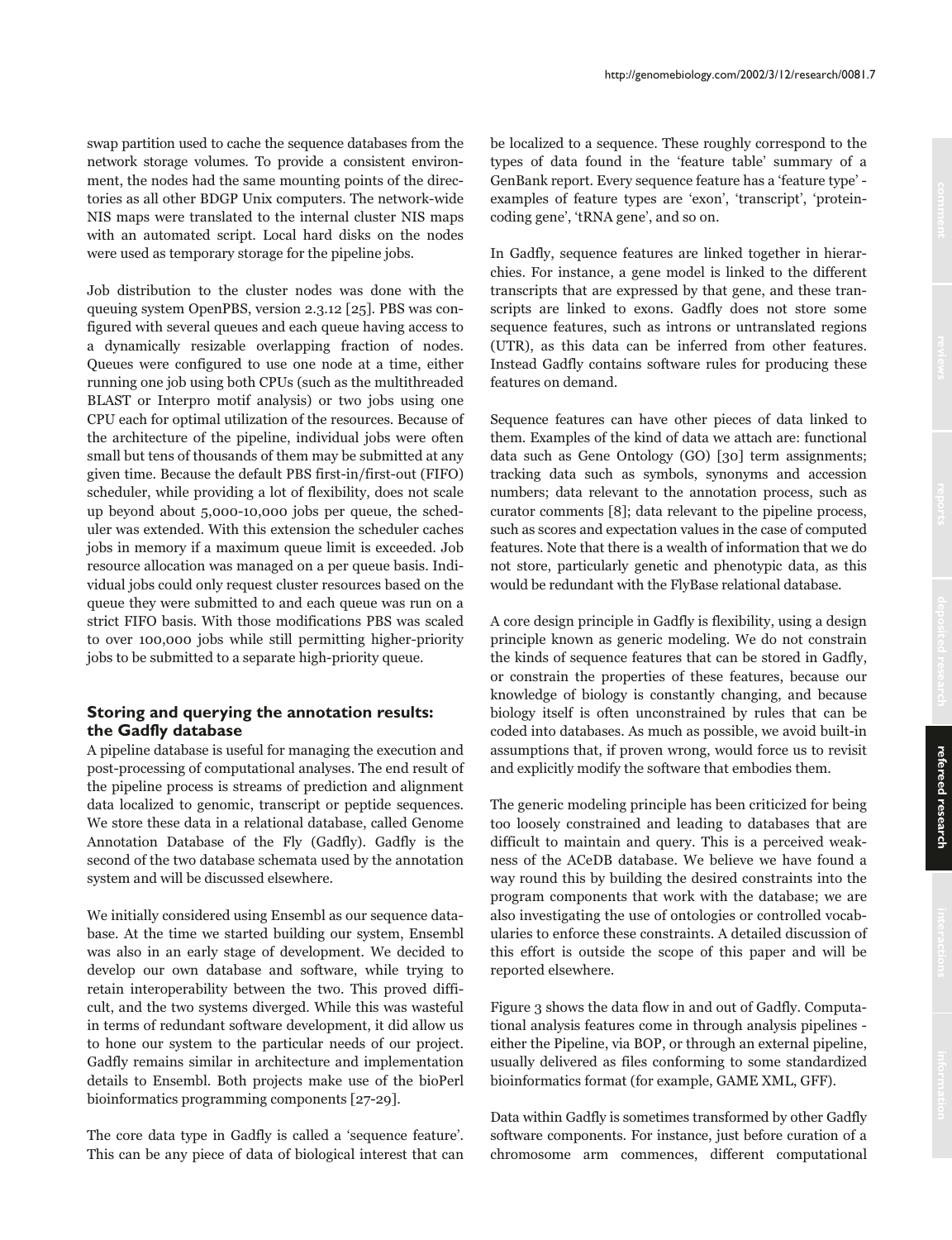swap partition used to cache the sequence databases from the network storage volumes. To provide a consistent environment, the nodes had the same mounting points of the directories as all other BDGP Unix computers. The network-wide NIS maps were translated to the internal cluster NIS maps with an automated script. Local hard disks on the nodes were used as temporary storage for the pipeline jobs.

Job distribution to the cluster nodes was done with the queuing system OpenPBS, version 2.3.12 [25]. PBS was configured with several queues and each queue having access to a dynamically resizable overlapping fraction of nodes. Queues were configured to use one node at a time, either running one job using both CPUs (such as the multithreaded BLAST or Interpro motif analysis) or two jobs using one CPU each for optimal utilization of the resources. Because of the architecture of the pipeline, individual jobs were often small but tens of thousands of them may be submitted at any given time. Because the default PBS first-in/first-out (FIFO) scheduler, while providing a lot of flexibility, does not scale up beyond about 5,000-10,000 jobs per queue, the scheduler was extended. With this extension the scheduler caches jobs in memory if a maximum queue limit is exceeded. Job resource allocation was managed on a per queue basis. Individual jobs could only request cluster resources based on the queue they were submitted to and each queue was run on a strict FIFO basis. With those modifications PBS was scaled to over 100,000 jobs while still permitting higher-priority jobs to be submitted to a separate high-priority queue.

# **Storing and querying the annotation results: the Gadfly database**

A pipeline database is useful for managing the execution and post-processing of computational analyses. The end result of the pipeline process is streams of prediction and alignment data localized to genomic, transcript or peptide sequences. We store these data in a relational database, called Genome Annotation Database of the Fly (Gadfly). Gadfly is the second of the two database schemata used by the annotation system and will be discussed elsewhere.

We initially considered using Ensembl as our sequence database. At the time we started building our system, Ensembl was also in an early stage of development. We decided to develop our own database and software, while trying to retain interoperability between the two. This proved difficult, and the two systems diverged. While this was wasteful in terms of redundant software development, it did allow us to hone our system to the particular needs of our project. Gadfly remains similar in architecture and implementation details to Ensembl. Both projects make use of the bioPerl bioinformatics programming components [27-29].

The core data type in Gadfly is called a 'sequence feature'. This can be any piece of data of biological interest that can be localized to a sequence. These roughly correspond to the types of data found in the 'feature table' summary of a GenBank report. Every sequence feature has a 'feature type' examples of feature types are 'exon', 'transcript', 'proteincoding gene', 'tRNA gene', and so on.

http://genomebiology.com/2002/3/12/research/0081.7

In Gadfly, sequence features are linked together in hierarchies. For instance, a gene model is linked to the different transcripts that are expressed by that gene, and these transcripts are linked to exons. Gadfly does not store some sequence features, such as introns or untranslated regions (UTR), as this data can be inferred from other features. Instead Gadfly contains software rules for producing these features on demand.

Sequence features can have other pieces of data linked to them. Examples of the kind of data we attach are: functional data such as Gene Ontology (GO) [30] term assignments; tracking data such as symbols, synonyms and accession numbers; data relevant to the annotation process, such as curator comments [8]; data relevant to the pipeline process, such as scores and expectation values in the case of computed features. Note that there is a wealth of information that we do not store, particularly genetic and phenotypic data, as this would be redundant with the FlyBase relational database.

A core design principle in Gadfly is flexibility, using a design principle known as generic modeling. We do not constrain the kinds of sequence features that can be stored in Gadfly, or constrain the properties of these features, because our knowledge of biology is constantly changing, and because biology itself is often unconstrained by rules that can be coded into databases. As much as possible, we avoid built-in assumptions that, if proven wrong, would force us to revisit and explicitly modify the software that embodies them.

The generic modeling principle has been criticized for being too loosely constrained and leading to databases that are difficult to maintain and query. This is a perceived weakness of the ACeDB database. We believe we have found a way round this by building the desired constraints into the program components that work with the database; we are also investigating the use of ontologies or controlled vocabularies to enforce these constraints. A detailed discussion of this effort is outside the scope of this paper and will be reported elsewhere.

Figure 3 shows the data flow in and out of Gadfly. Computational analysis features come in through analysis pipelines either the Pipeline, via BOP, or through an external pipeline, usually delivered as files conforming to some standardized bioinformatics format (for example, GAME XML, GFF).

Data within Gadfly is sometimes transformed by other Gadfly software components. For instance, just before curation of a chromosome arm commences, different computational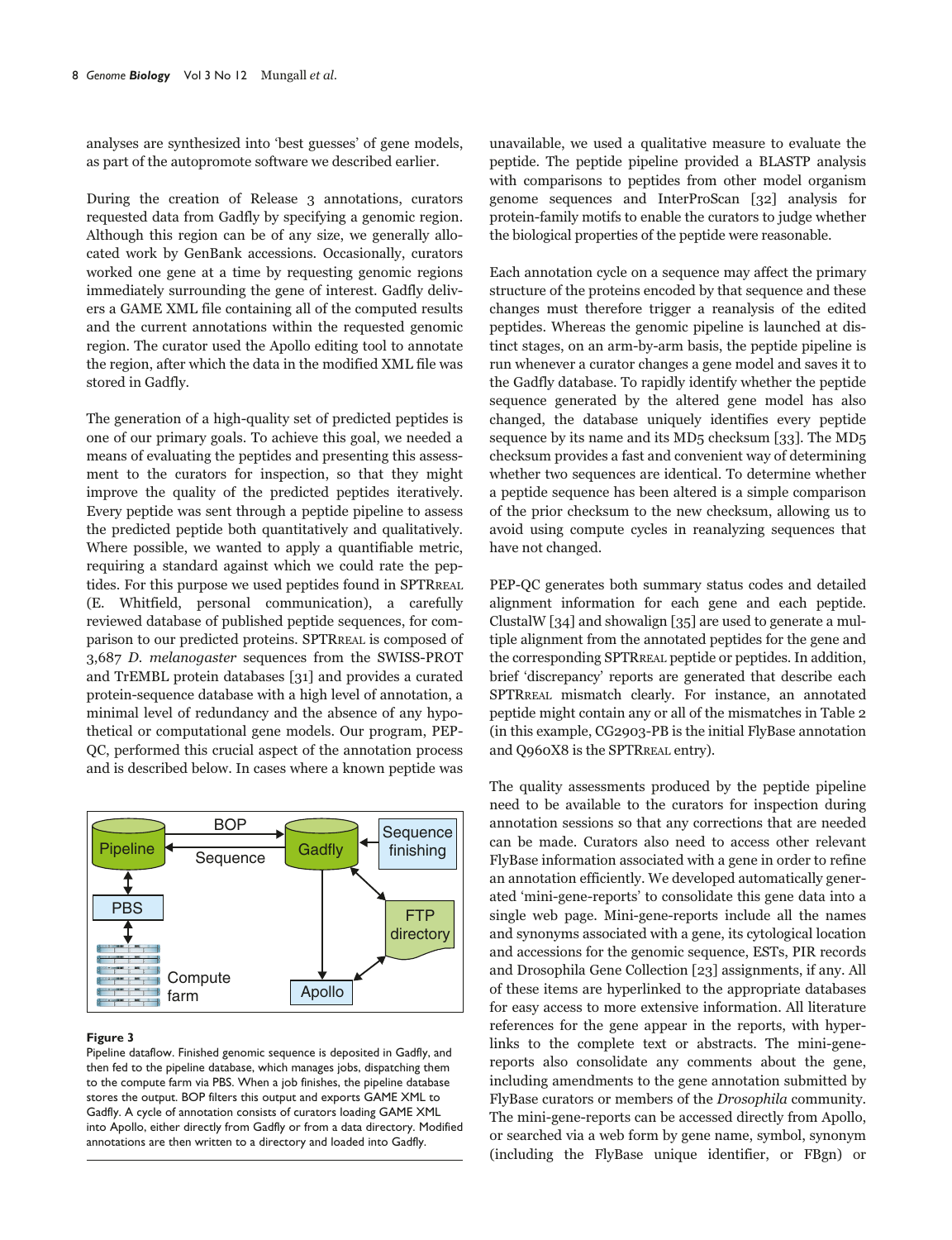analyses are synthesized into 'best guesses' of gene models, as part of the autopromote software we described earlier.

During the creation of Release 3 annotations, curators requested data from Gadfly by specifying a genomic region. Although this region can be of any size, we generally allocated work by GenBank accessions. Occasionally, curators worked one gene at a time by requesting genomic regions immediately surrounding the gene of interest. Gadfly delivers a GAME XML file containing all of the computed results and the current annotations within the requested genomic region. The curator used the Apollo editing tool to annotate the region, after which the data in the modified XML file was stored in Gadfly.

The generation of a high-quality set of predicted peptides is one of our primary goals. To achieve this goal, we needed a means of evaluating the peptides and presenting this assessment to the curators for inspection, so that they might improve the quality of the predicted peptides iteratively. Every peptide was sent through a peptide pipeline to assess the predicted peptide both quantitatively and qualitatively. Where possible, we wanted to apply a quantifiable metric, requiring a standard against which we could rate the peptides. For this purpose we used peptides found in SPTRREAL (E. Whitfield, personal communication), a carefully reviewed database of published peptide sequences, for comparison to our predicted proteins. SPTRREAL is composed of 3,687 D. melanogaster sequences from the SWISS-PROT and TrEMBL protein databases [31] and provides a curated protein-sequence database with a high level of annotation, a minimal level of redundancy and the absence of any hypothetical or computational gene models. Our program, PEP-QC, performed this crucial aspect of the annotation process and is described below. In cases where a known peptide was



#### **Figure 3**

Pipeline dataflow. Finished genomic sequence is deposited in Gadfly, and then fed to the pipeline database, which manages jobs, dispatching them to the compute farm via PBS. When a job finishes, the pipeline database stores the output. BOP filters this output and exports GAME XML to Gadfly. A cycle of annotation consists of curators loading GAME XML into Apollo, either directly from Gadfly or from a data directory. Modified annotations are then written to a directory and loaded into Gadfly.

unavailable, we used a qualitative measure to evaluate the peptide. The peptide pipeline provided a BLASTP analysis with comparisons to peptides from other model organism genome sequences and InterProScan [32] analysis for protein-family motifs to enable the curators to judge whether the biological properties of the peptide were reasonable.

Each annotation cycle on a sequence may affect the primary structure of the proteins encoded by that sequence and these changes must therefore trigger a reanalysis of the edited peptides. Whereas the genomic pipeline is launched at distinct stages, on an arm-by-arm basis, the peptide pipeline is run whenever a curator changes a gene model and saves it to the Gadfly database. To rapidly identify whether the peptide sequence generated by the altered gene model has also changed, the database uniquely identifies every peptide sequence by its name and its MD<sub>5</sub> checksum [33]. The MD<sub>5</sub> checksum provides a fast and convenient way of determining whether two sequences are identical. To determine whether a peptide sequence has been altered is a simple comparison of the prior checksum to the new checksum, allowing us to avoid using compute cycles in reanalyzing sequences that have not changed.

PEP-QC generates both summary status codes and detailed alignment information for each gene and each peptide. ClustalW [34] and showalign [35] are used to generate a multiple alignment from the annotated peptides for the gene and the corresponding SPTRREAL peptide or peptides. In addition, brief 'discrepancy' reports are generated that describe each SPTRREAL mismatch clearly. For instance, an annotated peptide might contain any or all of the mismatches in Table 2 (in this example, CG2903-PB is the initial FlyBase annotation and Q960X8 is the SPTRREAL entry).

The quality assessments produced by the peptide pipeline need to be available to the curators for inspection during annotation sessions so that any corrections that are needed can be made. Curators also need to access other relevant FlyBase information associated with a gene in order to refine an annotation efficiently. We developed automatically generated 'mini-gene-reports' to consolidate this gene data into a single web page. Mini-gene-reports include all the names and synonyms associated with a gene, its cytological location and accessions for the genomic sequence, ESTs, PIR records and Drosophila Gene Collection [23] assignments, if any. All of these items are hyperlinked to the appropriate databases for easy access to more extensive information. All literature references for the gene appear in the reports, with hyperlinks to the complete text or abstracts. The mini-genereports also consolidate any comments about the gene, including amendments to the gene annotation submitted by FlyBase curators or members of the Drosophila community. The mini-gene-reports can be accessed directly from Apollo, or searched via a web form by gene name, symbol, synonym (including the FlyBase unique identifier, or FBgn) or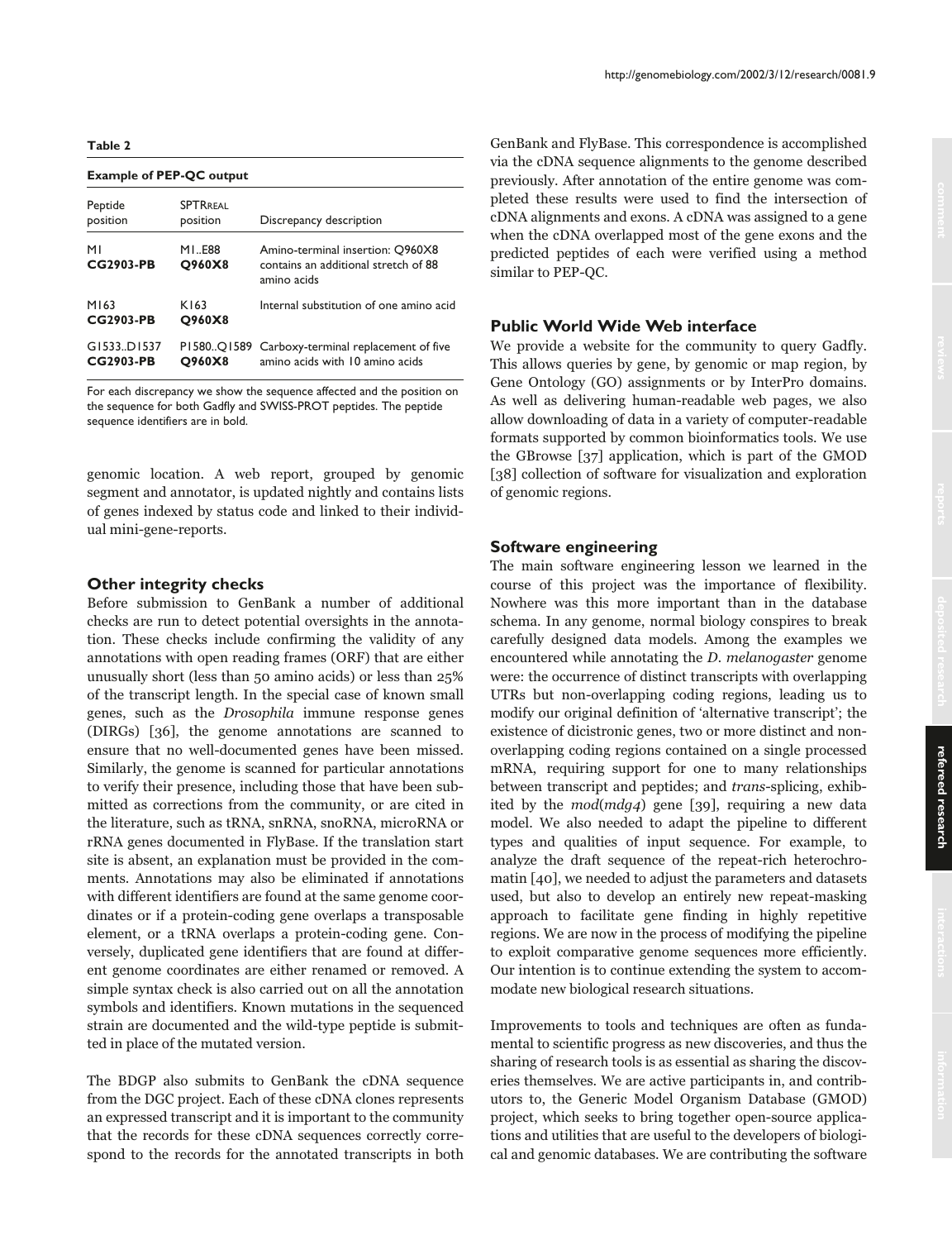## **Table 2**

| <b>Example of PEP-QC output</b> |                             |                                                                                         |
|---------------------------------|-----------------------------|-----------------------------------------------------------------------------------------|
| Peptide<br>position             | <b>SPTRREAL</b><br>position | Discrepancy description                                                                 |
| MI<br><b>CG2903-PB</b>          | MI F88<br>O960X8            | Amino-terminal insertion: Q960X8<br>contains an additional stretch of 88<br>amino acids |
| M163<br>CG2903-PB               | K163<br>O960X8              | Internal substitution of one amino acid                                                 |
| G1533.D1537<br>CG2903-PB        | O960X8                      | P1580Q1589 Carboxy-terminal replacement of five<br>amino acids with 10 amino acids      |

For each discrepancy we show the sequence affected and the position on the sequence for both Gadfly and SWISS-PROT peptides. The peptide sequence identifiers are in bold.

genomic location. A web report, grouped by genomic segment and annotator, is updated nightly and contains lists of genes indexed by status code and linked to their individual mini-gene-reports.

## **Other integrity checks**

Before submission to GenBank a number of additional checks are run to detect potential oversights in the annotation. These checks include confirming the validity of any annotations with open reading frames (ORF) that are either unusually short (less than 50 amino acids) or less than 25% of the transcript length. In the special case of known small genes, such as the Drosophila immune response genes (DIRGs) [36], the genome annotations are scanned to ensure that no well-documented genes have been missed. Similarly, the genome is scanned for particular annotations to verify their presence, including those that have been submitted as corrections from the community, or are cited in the literature, such as tRNA, snRNA, snoRNA, microRNA or rRNA genes documented in FlyBase. If the translation start site is absent, an explanation must be provided in the comments. Annotations may also be eliminated if annotations with different identifiers are found at the same genome coordinates or if a protein-coding gene overlaps a transposable element, or a tRNA overlaps a protein-coding gene. Conversely, duplicated gene identifiers that are found at different genome coordinates are either renamed or removed. A simple syntax check is also carried out on all the annotation symbols and identifiers. Known mutations in the sequenced strain are documented and the wild-type peptide is submitted in place of the mutated version.

The BDGP also submits to GenBank the cDNA sequence from the DGC project. Each of these cDNA clones represents an expressed transcript and it is important to the community that the records for these cDNA sequences correctly correspond to the records for the annotated transcripts in both GenBank and FlyBase. This correspondence is accomplished via the cDNA sequence alignments to the genome described previously. After annotation of the entire genome was completed these results were used to find the intersection of cDNA alignments and exons. A cDNA was assigned to a gene when the cDNA overlapped most of the gene exons and the predicted peptides of each were verified using a method similar to PEP-QC.

#### **Public World Wide Web interface**

We provide a website for the community to query Gadfly. This allows queries by gene, by genomic or map region, by Gene Ontology (GO) assignments or by InterPro domains. As well as delivering human-readable web pages, we also allow downloading of data in a variety of computer-readable formats supported by common bioinformatics tools. We use the GBrowse [37] application, which is part of the GMOD [38] collection of software for visualization and exploration of genomic regions.

# **Software engineering**

The main software engineering lesson we learned in the course of this project was the importance of flexibility. Nowhere was this more important than in the database schema. In any genome, normal biology conspires to break carefully designed data models. Among the examples we encountered while annotating the D. melanogaster genome were: the occurrence of distinct transcripts with overlapping UTRs but non-overlapping coding regions, leading us to modify our original definition of 'alternative transcript'; the existence of dicistronic genes, two or more distinct and nonoverlapping coding regions contained on a single processed mRNA, requiring support for one to many relationships between transcript and peptides; and trans-splicing, exhibited by the  $mod(mdq)$  gene [39], requiring a new data model. We also needed to adapt the pipeline to different types and qualities of input sequence. For example, to analyze the draft sequence of the repeat-rich heterochromatin [40], we needed to adjust the parameters and datasets used, but also to develop an entirely new repeat-masking approach to facilitate gene finding in highly repetitive regions. We are now in the process of modifying the pipeline to exploit comparative genome sequences more efficiently. Our intention is to continue extending the system to accommodate new biological research situations.

Improvements to tools and techniques are often as fundamental to scientific progress as new discoveries, and thus the sharing of research tools is as essential as sharing the discoveries themselves. We are active participants in, and contributors to, the Generic Model Organism Database (GMOD) project, which seeks to bring together open-source applications and utilities that are useful to the developers of biological and genomic databases. We are contributing the software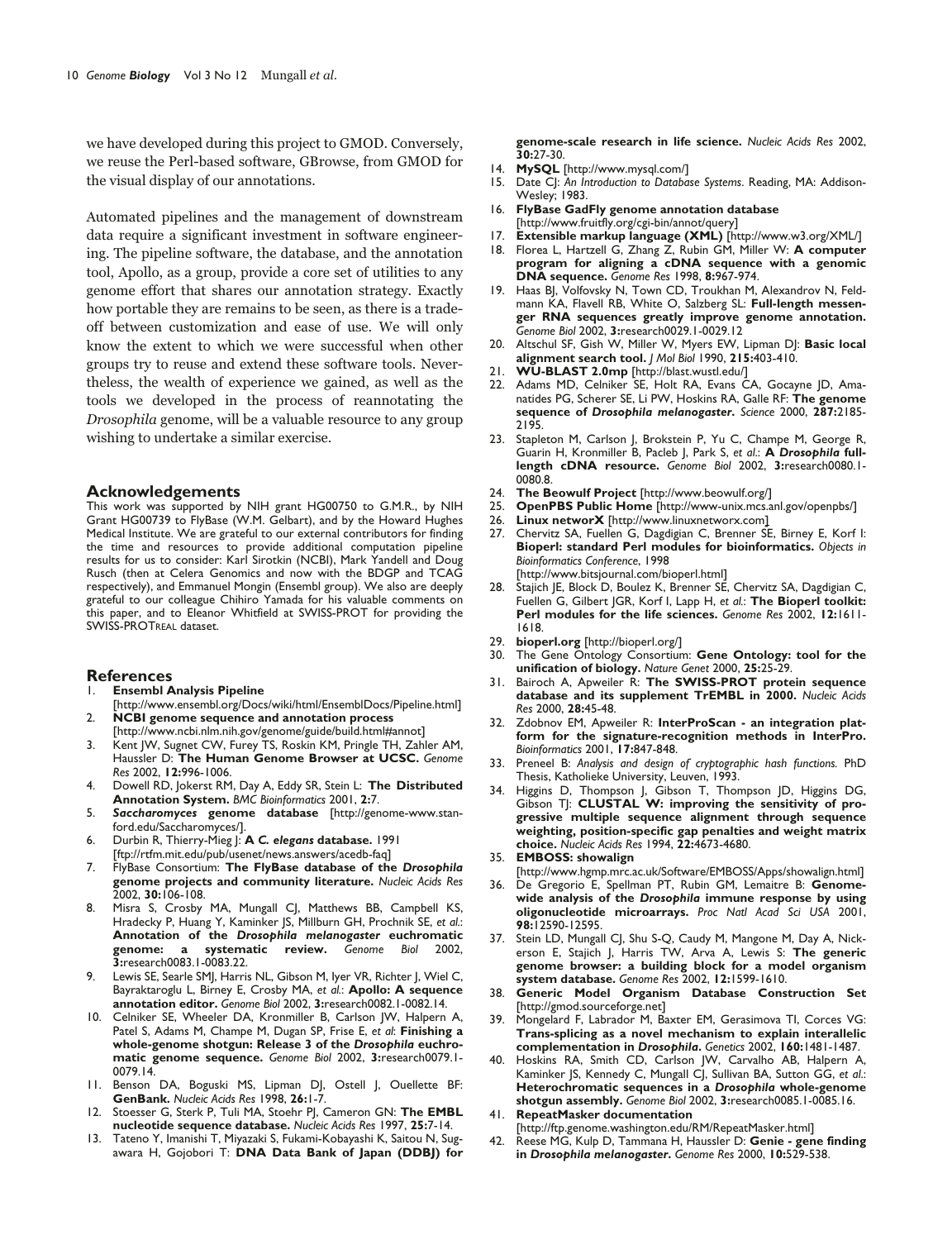we have developed during this project to GMOD. Conversely, we reuse the Perl-based software, GBrowse, from GMOD for the visual display of our annotations.

Automated pipelines and the management of downstream data require a significant investment in software engineering. The pipeline software, the database, and the annotation tool, Apollo, as a group, provide a core set of utilities to any genome effort that shares our annotation strategy. Exactly how portable they are remains to be seen, as there is a tradeoff between customization and ease of use. We will only know the extent to which we were successful when other groups try to reuse and extend these software tools. Nevertheless, the wealth of experience we gained, as well as the tools we developed in the process of reannotating the Drosophila genome, will be a valuable resource to any group wishing to undertake a similar exercise.

#### **Acknowledgements**

This work was supported by NIH grant HG00750 to G.M.R., by NIH Grant HG00739 to FlyBase (W.M. Gelbart), and by the Howard Hughes Medical Institute. We are grateful to our external contributors for finding the time and resources to provide additional computation pipeline results for us to consider: Karl Sirotkin (NCBI), Mark Yandell and Doug Rusch (then at Celera Genomics and now with the BDGP and TCAG respectively), and Emmanuel Mongin (Ensembl group). We also are deeply grateful to our colleague Chihiro Yamada for his valuable comments on this paper, and to Eleanor Whitfield at SWISS-PROT for providing the SWISS-PROTREAL dataset.

#### **References**

- 1. **Ensembl Analysis Pipeline**
- [http://www.ensembl.org/Docs/wiki/html/EnsemblDocs/Pipeline.html] 2. **NCBI genome sequence and annotation process**
- [http://www.ncbi.nlm.nih.gov/genome/guide/build.html#annot] 3. Kent JW, Sugnet CW, Furey TS, Roskin KM, Pringle TH, Zahler AM, Haussler D: **The Human Genome Browser at UCSC.** *Genome*
- *Res* 2002, **12:**996-1006. 4. Dowell RD, Jokerst RM, Day A, Eddy SR, Stein L: **The Distributed**
- **Annotation System.** *BMC Bioinformatics* 2001, **2:**7.
- 5. *Saccharomyces* **genome database** [http://genome-www.stanford.edu/Saccharomyces/].
- 6. Durbin R, Thierry-Mieg J: **A** *C. elegans* **database.** 1991 [ftp://rtfm.mit.edu/pub/usenet/news.answers/acedb-faq]
- 7. FlyBase Consortium: **The FlyBase database of the** *Drosophila* **genome projects and community literature.** *Nucleic Acids Res* 2002, **30:**106-108.
- Misra S, Crosby MA, Mungall CJ, Matthews BB, Campbell KS, Hradecky P, Huang Y, Kaminker JS, Millburn GH, Prochnik SE, *et al.*: **Annotation of the** *Drosophila melanogaster* **euchromatic** genome: a systematic review. **3:**research0083.1-0083.22.
- 9. Lewis SE, Searle SMJ, Harris NL, Gibson M, Iyer VR, Richter J, Wiel C, Bayraktaroglu L, Birney E, Crosby MA, *et al.*: **Apollo: A sequence annotation editor.** *Genome Biol* 2002, **3:**research0082.1-0082.14.
- 10. Celniker SE, Wheeler DA, Kronmiller B, Carlson JW, Halpern A, Patel S, Adams M, Champe M, Dugan SP, Frise E, *et al*: **Finishing a whole-genome shotgun: Release 3 of the** *Drosophila* **euchromatic genome sequence.** *Genome Biol* 2002, **3:**research0079.1- 0079.14.
- 11. Benson DA, Boguski MS, Lipman DJ, Ostell J, Ouellette BF: **GenBank.** *Nucleic Acids Res* 1998, **26:**1-7.
- 12. Stoesser G, Sterk P, Tuli MA, Stoehr PJ, Cameron GN: **The EMBL nucleotide sequence database.** *Nucleic Acids Res* 1997, **25:**7-14.
- 13. Tateno Y, Imanishi T, Miyazaki S, Fukami-Kobayashi K, Saitou N, Sugawara H, Gojobori T: **DNA Data Bank of Japan (DDBJ) for**

**genome-scale research in life science.** *Nucleic Acids Res* 2002, **30:**27-30.

- 14. **MySQL** [http://www.mysql.com/]<br>15. Date CJ: An Introduction to Databa
- Date CJ: An *Introduction to Database Systems*. Reading, MA: Addison-Wesley; 1983.
- 16. **FlyBase GadFly genome annotation database** [http://www.fruitfly.org/cgi-bin/annot/query]
- 17. **Extensible markup language (XML)** [http://www.w3.org/XML/]
- 18. Florea L, Hartzell G, Zhang Z, Rubin GM, Miller W: **A computer program for aligning a cDNA sequence with a genomic DNA sequence.** *Genome Res* 1998, **8:**967-974.
- 19. Haas BJ, Volfovsky N, Town CD, Troukhan M, Alexandrov N, Feldmann KA, Flavell RB, White O, Salzberg SL: **Full-length messenger RNA sequences greatly improve genome annotation.** *Genome Biol* 2002, **3:**research0029.1-0029.12
- 20. Altschul SF, Gish W, Miller W, Myers EW, Lipman DJ: Basic local **alignment search tool.** *J Mol Biol* 1990, **215:**403-410.
- 21. **WU-BLAST 2.0mp** [http://blast.wustl.edu/]
- 22. Adams MD, Celniker SE, Holt RA, Evans CA, Gocayne JD, Amanatides PG, Scherer SE, Li PW, Hoskins RA, Galle RF: **The genome sequence of** *Drosophila melanogaster***.** *Science* 2000, **287:**2185- 2195.
- 23. Stapleton M, Carlson J, Brokstein P, Yu C, Champe M, George R, Guarin H, Kronmiller B, Pacleb J, Park S, *et al*.: **A** *Drosophila* **fulllength cDNA resource.** *Genome Biol* 2002, **3:**research0080.1- 0080.8.
- 24. **The Beowulf Project** [http://www.beowulf.org/]
- 25. **OpenPBS Public Home** [http://www-unix.mcs.anl.gov/openpbs/]
- Linux networX [http://www.linuxnetworx.com]
- 27. Chervitz SA, Fuellen G, Dagdigian C, Brenner SE, Birney E, Korf I: **Bioperl: standard Perl modules for bioinformatics.** *Objects in Bioinformatics Conference*, 1998 [http://www.bitsjournal.com/bioperl.html]
- 28. Stajich JE, Block D, Boulez K, Brenner SE, Chervitz SA, Dagdigian C, Fuellen G, Gilbert JGR, Korf I, Lapp H, *et al.*: **The Bioperl toolkit: Perl modules for the life sciences.** *Genome Res* 2002, **12:**1611- 1618.
- 29. **bioperl.org** [http://bioperl.org/]
- 30. The Gene Ontology Consortium: **Gene Ontology: tool for the unification of biology.** *Nature Genet* 2000, **25:**25-29.
- 31. Bairoch A, Apweiler R: **The SWISS-PROT protein sequence database and its supplement TrEMBL in 2000.** *Nucleic Acids Res* 2000, **28:**45-48.
- 32. Zdobnov EM, Apweiler R: **InterProScan an integration platform for the signature-recognition methods in InterPro.** *Bioinformatics* 2001, **17:**847-848.
- 33. Preneel B: *Analysis and design of cryptographic hash functions.* PhD Thesis, Katholieke University, Leuven, 1993.
- 34. Higgins D, Thompson J, Gibson T, Thompson JD, Higgins DG, Gibson TJ: **CLUSTAL W: improving the sensitivity of progressive multiple sequence alignment through sequence weighting, position-specific gap penalties and weight matrix choice.** *Nucleic Acids Res* 1994, **22:**4673-4680.
- 35. **EMBOSS: showalign**

[http://www.hgmp.mrc.ac.uk/Software/EMBOSS/Apps/showalign.html]

- 36. De Gregorio E, Spellman PT, Rubin GM, Lemaitre B: **Genomewide analysis of the** *Drosophila* **immune response by using oligonucleotide microarrays.** *Proc Natl Acad Sci USA* 2001, **98:**12590-12595.
- 37. Stein LD, Mungall CJ, Shu S-Q, Caudy M, Mangone M, Day A, Nickerson E, Stajich J, Harris TW, Arva A, Lewis S: **The generic genome browser: a building block for a model organism system database.** *Genome Res* 2002, **12:**1599-1610.
- 38. **Generic Model Organism Database Construction Set** [http://gmod.sourceforge.net]
- 39. Mongelard F, Labrador M, Baxter EM, Gerasimova TI, Corces VG: **Trans-splicing as a novel mechanism to explain interallelic complementation in** *Drosophila***.** *Genetics* 2002, **160:**1481-1487.
- 40. Hoskins RA, Smith CD, Carlson JW, Carvalho AB, Halpern A, Kaminker JS, Kennedy C, Mungall CJ, Sullivan BA, Sutton GG, *et al*.: **Heterochromatic sequences in a** *Drosophila* **whole-genome shotgun assembly.** *Genome Biol* 2002, **3:**research0085.1-0085.16.
- 41. **RepeatMasker documentation** [http://ftp.genome.washington.edu/RM/RepeatMasker.html]
- 42. Reese MG, Kulp D, Tammana H, Haussler D: **Genie gene finding in** *Drosophila melanogaster***.** *Genome Res* 2000, **10:**529-538.